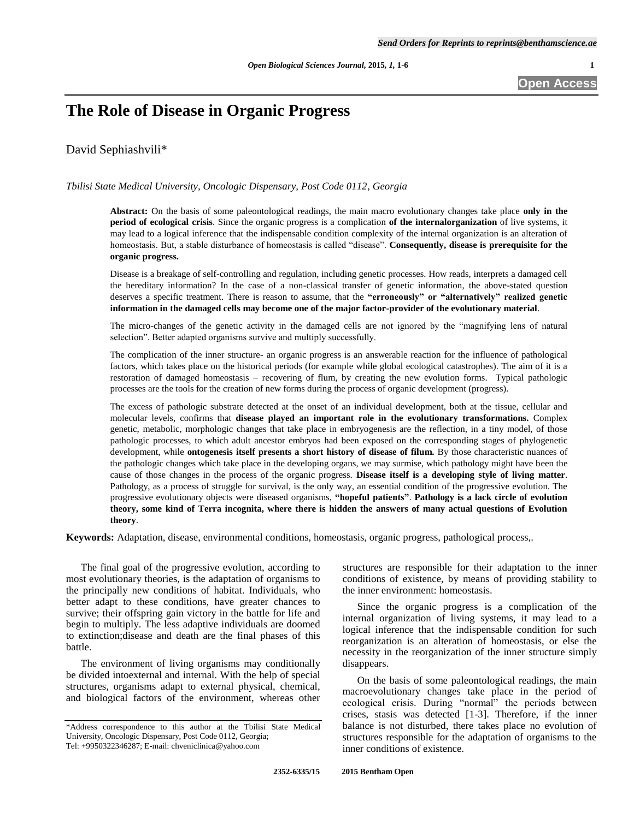**Open Access**

# **The Role of Disease in Organic Progress**

David Sephiashvili\*

*Tbilisi State Medical University, Oncologic Dispensary, Post Code 0112, Georgia*

**Abstract:** On the basis of some paleontological readings, the main macro evolutionary changes take place **only in the period of ecological crisis**. Since the organic progress is a complication **of the internalorganization** of live systems, it may lead to a logical inference that the indispensable condition complexity of the internal organization is an alteration of homeostasis. But, a stable disturbance of homeostasis is called "disease". **Consequently, disease is prerequisite for the organic progress.**

Disease is a breakage of self-controlling and regulation, including genetic processes. How reads, interprets a damaged cell the hereditary information? In the case of a non-classical transfer of genetic information, the above-stated question deserves a specific treatment. There is reason to assume, that the **"erroneously" or "alternatively" realized genetic information in the damaged cells may become one of the major factor-provider of the evolutionary material**.

The micro-changes of the genetic activity in the damaged cells are not ignored by the "magnifying lens of natural selection". Better adapted organisms survive and multiply successfully.

The complication of the inner structure- an organic progress is an answerable reaction for the influence of pathological factors, which takes place on the historical periods (for example while global ecological catastrophes). The aim of it is a restoration of damaged homeostasis – recovering of flum, by creating the new evolution forms. Typical pathologic processes are the tools for the creation of new forms during the process of organic development (progress).

The excess of pathologic substrate detected at the onset of an individual development, both at the tissue, cellular and molecular levels, confirms that **disease played an important role in the evolutionary transformations.** Complex genetic, metabolic, morphologic changes that take place in embryogenesis are the reflection, in a tiny model, of those pathologic processes, to which adult ancestor embryos had been exposed on the corresponding stages of phylogenetic development, while **ontogenesis itself presents a short history of disease of filum.** By those characteristic nuances of the pathologic changes which take place in the developing organs, we may surmise, which pathology might have been the cause of those changes in the process of the organic progress. **Disease itself is a developing style of living matter**. Pathology, as a process of struggle for survival, is the only way, an essential condition of the progressive evolution. The progressive evolutionary objects were diseased organisms, **"hopeful patients"**. **Pathology is a lack circle of evolution theory, some kind of Terra incognita, where there is hidden the answers of many actual questions of Evolution theory**.

**Keywords:** Adaptation, disease, environmental conditions, homeostasis, organic progress, pathological process,.

The final goal of the progressive evolution, according to most evolutionary theories, is the adaptation of organisms to the principally new conditions of habitat. Individuals, who better adapt to these conditions, have greater chances to survive; their offspring gain victory in the battle for life and begin to multiply. The less adaptive individuals are doomed to extinction;disease and death are the final phases of this battle.

The environment of living organisms may conditionally be divided intoexternal and internal. With the help of special structures, organisms adapt to external physical, chemical, and biological factors of the environment, whereas other structures are responsible for their adaptation to the inner conditions of existence, by means of providing stability to the inner environment: homeostasis.

Since the organic progress is a complication of the internal organization of living systems, it may lead to a logical inference that the indispensable condition for such reorganization is an alteration of homeostasis, or else the necessity in the reorganization of the inner structure simply disappears.

On the basis of some paleontological readings, the main macroevolutionary changes take place in the period of ecological crisis. During "normal" the periods between crises, stasis was detected [1-3]. Therefore, if the inner balance is not disturbed, there takes place no evolution of structures responsible for the adaptation of organisms to the inner conditions of existence.

<sup>\*</sup>Address correspondence to this author at the Tbilisi State Medical University, Oncologic Dispensary, Post Code 0112, Georgia; Tel: +9950322346287; E-mail: chveniclinica@yahoo.com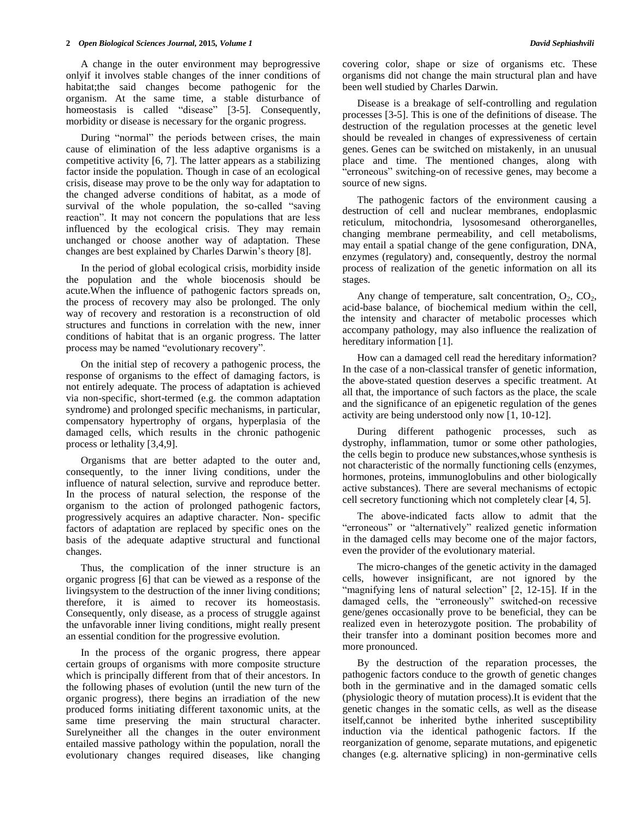A change in the outer environment may beprogressive onlyif it involves stable changes of the inner conditions of habitat;the said changes become pathogenic for the organism. At the same time, a stable disturbance of homeostasis is called "disease" [3-5]. Consequently, morbidity or disease is necessary for the organic progress.

During "normal" the periods between crises, the main cause of elimination of the less adaptive organisms is a competitive activity [6, 7]. The latter appears as a stabilizing factor inside the population. Though in case of an ecological crisis, disease may prove to be the only way for adaptation to the changed adverse conditions of habitat, as a mode of survival of the whole population, the so-called "saving reaction". It may not concern the populations that are less influenced by the ecological crisis. They may remain unchanged or choose another way of adaptation. These changes are best explained by Charles Darwin's theory [8].

In the period of global ecological crisis, morbidity inside the population and the whole biocenosis should be acute.When the influence of pathogenic factors spreads on, the process of recovery may also be prolonged. The only way of recovery and restoration is a reconstruction of old structures and functions in correlation with the new, inner conditions of habitat that is an organic progress. The latter process may be named "evolutionary recovery".

On the initial step of recovery a pathogenic process, the response of organisms to the effect of damaging factors, is not entirely adequate. The process of adaptation is achieved via non-specific, short-termed (e.g. the common adaptation syndrome) and prolonged specific mechanisms, in particular, compensatory hypertrophy of organs, hyperplasia of the damaged cells, which results in the chronic pathogenic process or lethality [3,4,9].

Organisms that are better adapted to the outer and, consequently, to the inner living conditions, under the influence of natural selection, survive and reproduce better. In the process of natural selection, the response of the organism to the action of prolonged pathogenic factors, progressively acquires an adaptive character. Non- specific factors of adaptation are replaced by specific ones on the basis of the adequate adaptive structural and functional changes.

Thus, the complication of the inner structure is an organic progress [6] that can be viewed as a response of the livingsystem to the destruction of the inner living conditions; therefore, it is aimed to recover its homeostasis. Consequently, only disease, as a process of struggle against the unfavorable inner living conditions, might really present an essential condition for the progressive evolution.

In the process of the organic progress, there appear certain groups of organisms with more composite structure which is principally different from that of their ancestors. In the following phases of evolution (until the new turn of the organic progress), there begins an irradiation of the new produced forms initiating different taxonomic units, at the same time preserving the main structural character. Surelyneither all the changes in the outer environment entailed massive pathology within the population, norall the evolutionary changes required diseases, like changing covering color, shape or size of organisms etc. These organisms did not change the main structural plan and have been well studied by Charles Darwin.

Disease is a breakage of self-controlling and regulation processes [3-5]. This is one of the definitions of disease. The destruction of the regulation processes at the genetic level should be revealed in changes of expressiveness of certain genes. Genes can be switched on mistakenly, in an unusual place and time. The mentioned changes, along with "erroneous" switching-on of recessive genes, may become a source of new signs.

The pathogenic factors of the environment causing a destruction of cell and nuclear membranes, endoplasmic reticulum, mitochondria, lysosomesand otherorganelles, changing membrane permeability, and cell metabolisms, may entail a spatial change of the gene configuration, DNA, enzymes (regulatory) and, consequently, destroy the normal process of realization of the genetic information on all its stages.

Any change of temperature, salt concentration,  $O_2$ ,  $CO_2$ , acid-base balance, of biochemical medium within the cell, the intensity and character of metabolic processes which accompany pathology, may also influence the realization of hereditary information [1].

How can a damaged cell read the hereditary information? In the case of a non-classical transfer of genetic information, the above-stated question deserves a specific treatment. At all that, the importance of such factors as the place, the scale and the significance of an epigenetic regulation of the genes activity are being understood only now [1, 10-12].

During different pathogenic processes, such as dystrophy, inflammation, tumor or some other pathologies, the cells begin to produce new substances,whose synthesis is not characteristic of the normally functioning cells (enzymes, hormones, proteins, immunoglobulins and other biologically active substances). There are several mechanisms of ectopic cell secretory functioning which not completely clear [4, 5].

The above-indicated facts allow to admit that the "erroneous" or "alternatively" realized genetic information in the damaged cells may become one of the major factors, even the provider of the evolutionary material.

The micro-changes of the genetic activity in the damaged cells, however insignificant, are not ignored by the "magnifying lens of natural selection" [2, 12-15]. If in the damaged cells, the "erroneously" switched-on recessive gene/genes occasionally prove to be beneficial, they can be realized even in heterozygote position. The probability of their transfer into a dominant position becomes more and more pronounced.

By the destruction of the reparation processes, the pathogenic factors conduce to the growth of genetic changes both in the germinative and in the damaged somatic cells (physiologic theory of mutation process).It is evident that the genetic changes in the somatic cells, as well as the disease itself,cannot be inherited bythe inherited susceptibility induction via the identical pathogenic factors. If the reorganization of genome, separate mutations, and epigenetic changes (e.g. alternative splicing) in non-germinative cells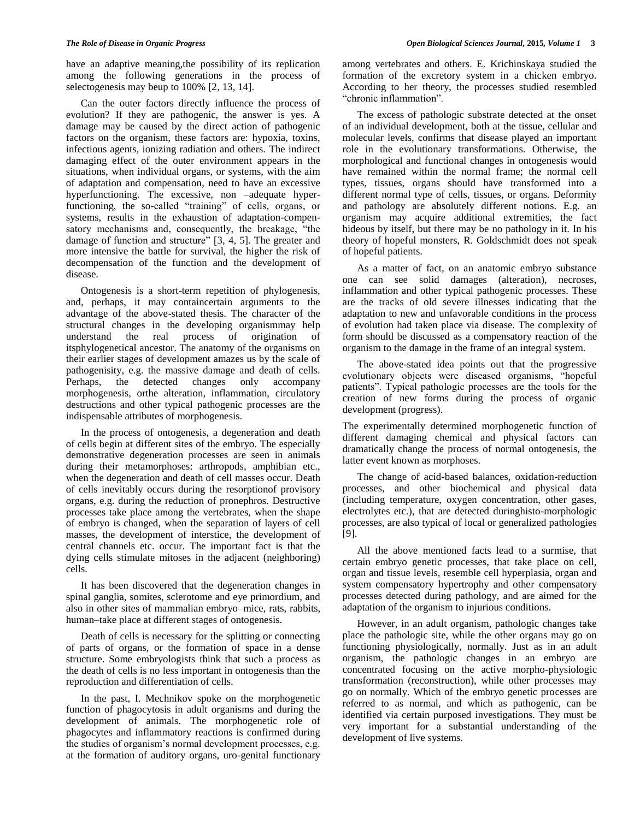have an adaptive meaning,the possibility of its replication among the following generations in the process of selectogenesis may beup to 100% [2, 13, 14].

Can the outer factors directly influence the process of evolution? If they are pathogenic, the answer is yes. A damage may be caused by the direct action of pathogenic factors on the organism, these factors are: hypoxia, toxins, infectious agents, ionizing radiation and others. The indirect damaging effect of the outer environment appears in the situations, when individual organs, or systems, with the aim of adaptation and compensation, need to have an excessive hyperfunctioning. The excessive, non –adequate hyperfunctioning, the so-called "training" of cells, organs, or systems, results in the exhaustion of adaptation-compensatory mechanisms and, consequently, the breakage, "the damage of function and structure" [3, 4, 5]. The greater and more intensive the battle for survival, the higher the risk of decompensation of the function and the development of disease.

Ontogenesis is a short-term repetition of phylogenesis, and, perhaps, it may containcertain arguments to the advantage of the above-stated thesis. The character of the structural changes in the developing organismmay help understand the real process of origination of itsphylogenetical ancestor. The anatomy of the organisms on their earlier stages of development amazes us by the scale of pathogenisity, e.g. the massive damage and death of cells. Perhaps, the detected changes only accompany morphogenesis, orthe alteration, inflammation, circulatory destructions and other typical pathogenic processes are the indispensable attributes of morphogenesis.

In the process of ontogenesis, a degeneration and death of cells begin at different sites of the embryo. The especially demonstrative degeneration processes are seen in animals during their metamorphoses: arthropods, amphibian etc., when the degeneration and death of cell masses occur. Death of cells inevitably occurs during the resorptionof provisory organs, e.g. during the reduction of pronephros. Destructive processes take place among the vertebrates, when the shape of embryo is changed, when the separation of layers of cell masses, the development of interstice, the development of central channels etc. occur. The important fact is that the dying cells stimulate mitoses in the adjacent (neighboring) cells.

It has been discovered that the degeneration changes in spinal ganglia, somites, sclerotome and eye primordium, and also in other sites of mammalian embryo–mice, rats, rabbits, human–take place at different stages of ontogenesis.

Death of cells is necessary for the splitting or connecting of parts of organs, or the formation of space in a dense structure. Some embryologists think that such a process as the death of cells is no less important in ontogenesis than the reproduction and differentiation of cells.

In the past, I. Mechnikov spoke on the morphogenetic function of phagocytosis in adult organisms and during the development of animals. The morphogenetic role of phagocytes and inflammatory reactions is confirmed during the studies of organism's normal development processes, e.g. at the formation of auditory organs, uro-genital functionary

among vertebrates and others. E. Krichinskaya studied the formation of the excretory system in a chicken embryo. According to her theory, the processes studied resembled "chronic inflammation".

The excess of pathologic substrate detected at the onset of an individual development, both at the tissue, cellular and molecular levels, confirms that disease played an important role in the evolutionary transformations. Otherwise, the morphological and functional changes in ontogenesis would have remained within the normal frame; the normal cell types, tissues, organs should have transformed into a different normal type of cells, tissues, or organs. Deformity and pathology are absolutely different notions. E.g. an organism may acquire additional extremities, the fact hideous by itself, but there may be no pathology in it. In his theory of hopeful monsters, R. Goldschmidt does not speak of hopeful patients.

As a matter of fact, on an anatomic embryo substance one can see solid damages (alteration), necroses, inflammation and other typical pathogenic processes. These are the tracks of old severe illnesses indicating that the adaptation to new and unfavorable conditions in the process of evolution had taken place via disease. The complexity of form should be discussed as a compensatory reaction of the organism to the damage in the frame of an integral system.

The above-stated idea points out that the progressive evolutionary objects were diseased organisms, "hopeful patients". Typical pathologic processes are the tools for the creation of new forms during the process of organic development (progress).

The experimentally determined morphogenetic function of different damaging chemical and physical factors can dramatically change the process of normal ontogenesis, the latter event known as morphoses.

The change of acid-based balances, oxidation-reduction processes, and other biochemical and physical data (including temperature, oxygen concentration, other gases, electrolytes etc.), that are detected duringhisto-morphologic processes, are also typical of local or generalized pathologies [9].

All the above mentioned facts lead to a surmise, that certain embryo genetic processes, that take place on cell, organ and tissue levels, resemble cell hyperplasia, organ and system compensatory hypertrophy and other compensatory processes detected during pathology, and are aimed for the adaptation of the organism to injurious conditions.

However, in an adult organism, pathologic changes take place the pathologic site, while the other organs may go on functioning physiologically, normally. Just as in an adult organism, the pathologic changes in an embryo are concentrated focusing on the active morpho-physiologic transformation (reconstruction), while other processes may go on normally. Which of the embryo genetic processes are referred to as normal, and which as pathogenic, can be identified via certain purposed investigations. They must be very important for a substantial understanding of the development of live systems.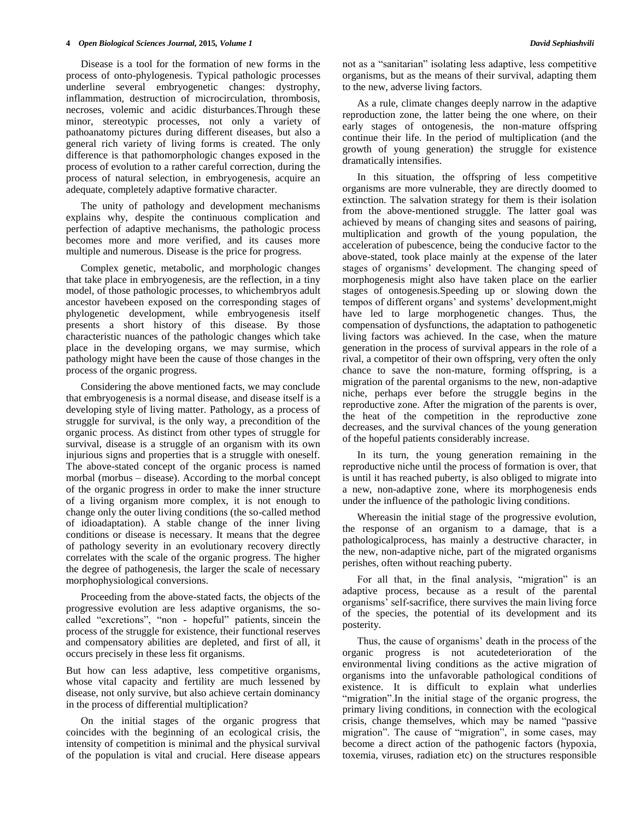Disease is a tool for the formation of new forms in the process of onto-phylogenesis. Typical pathologic processes underline several embryogenetic changes: dystrophy, inflammation, destruction of microcirculation, thrombosis, necroses, volemic and acidic disturbances.Through these minor, stereotypic processes, not only a variety of pathoanatomy pictures during different diseases, but also a general rich variety of living forms is created. The only difference is that pathomorphologic changes exposed in the process of evolution to a rather careful correction, during the process of natural selection, in embryogenesis, acquire an adequate, completely adaptive formative character.

The unity of pathology and development mechanisms explains why, despite the continuous complication and perfection of adaptive mechanisms, the pathologic process becomes more and more verified, and its causes more multiple and numerous. Disease is the price for progress.

Complex genetic, metabolic, and morphologic changes that take place in embryogenesis, are the reflection, in a tiny model, of those pathologic processes, to whichembryos adult ancestor havebeen exposed on the corresponding stages of phylogenetic development, while embryogenesis itself presents a short history of this disease. By those characteristic nuances of the pathologic changes which take place in the developing organs, we may surmise, which pathology might have been the cause of those changes in the process of the organic progress.

Considering the above mentioned facts, we may conclude that embryogenesis is a normal disease, and disease itself is a developing style of living matter. Pathology, as a process of struggle for survival, is the only way, a precondition of the organic process. As distinct from other types of struggle for survival, disease is a struggle of an organism with its own injurious signs and properties that is a struggle with oneself. The above-stated concept of the organic process is named morbal (morbus – disease). According to the morbal concept of the organic progress in order to make the inner structure of a living organism more complex, it is not enough to change only the outer living conditions (the so-called method of idioadaptation). A stable change of the inner living conditions or disease is necessary. It means that the degree of pathology severity in an evolutionary recovery directly correlates with the scale of the organic progress. The higher the degree of pathogenesis, the larger the scale of necessary morphophysiological conversions.

Proceeding from the above-stated facts, the objects of the progressive evolution are less adaptive organisms, the socalled "excretions", "non - hopeful" patients, sincein the process of the struggle for existence, their functional reserves and compensatory abilities are depleted, and first of all, it occurs precisely in these less fit organisms.

But how can less adaptive, less competitive organisms, whose vital capacity and fertility are much lessened by disease, not only survive, but also achieve certain dominancy in the process of differential multiplication?

On the initial stages of the organic progress that coincides with the beginning of an ecological crisis, the intensity of competition is minimal and the physical survival of the population is vital and crucial. Here disease appears

not as a "sanitarian" isolating less adaptive, less competitive organisms, but as the means of their survival, adapting them to the new, adverse living factors.

As a rule, climate changes deeply narrow in the adaptive reproduction zone, the latter being the one where, on their early stages of ontogenesis, the non-mature offspring continue their life. In the period of multiplication (and the growth of young generation) the struggle for existence dramatically intensifies.

In this situation, the offspring of less competitive organisms are more vulnerable, they are directly doomed to extinction. The salvation strategy for them is their isolation from the above-mentioned struggle. The latter goal was achieved by means of changing sites and seasons of pairing, multiplication and growth of the young population, the acceleration of pubescence, being the conducive factor to the above-stated, took place mainly at the expense of the later stages of organisms' development. The changing speed of morphogenesis might also have taken place on the earlier stages of ontogenesis.Speeding up or slowing down the tempos of different organs' and systems' development,might have led to large morphogenetic changes. Thus, the compensation of dysfunctions, the adaptation to pathogenetic living factors was achieved. In the case, when the mature generation in the process of survival appears in the role of a rival, a competitor of their own offspring, very often the only chance to save the non-mature, forming offspring, is a migration of the parental organisms to the new, non-adaptive niche, perhaps ever before the struggle begins in the reproductive zone. After the migration of the parents is over, the heat of the competition in the reproductive zone decreases, and the survival chances of the young generation of the hopeful patients considerably increase.

In its turn, the young generation remaining in the reproductive niche until the process of formation is over, that is until it has reached puberty, is also obliged to migrate into a new, non-adaptive zone, where its morphogenesis ends under the influence of the pathologic living conditions.

Whereasin the initial stage of the progressive evolution, the response of an organism to a damage, that is a pathologicalprocess, has mainly a destructive character, in the new, non-adaptive niche, part of the migrated organisms perishes, often without reaching puberty.

For all that, in the final analysis, "migration" is an adaptive process, because as a result of the parental organisms' self-sacrifice, there survives the main living force of the species, the potential of its development and its posterity.

Thus, the cause of organisms' death in the process of the organic progress is not acutedeterioration of the environmental living conditions as the active migration of organisms into the unfavorable pathological conditions of existence. It is difficult to explain what underlies "migration".In the initial stage of the organic progress, the primary living conditions, in connection with the ecological crisis, change themselves, which may be named "passive migration". The cause of "migration", in some cases, may become a direct action of the pathogenic factors (hypoxia, toxemia, viruses, radiation etc) on the structures responsible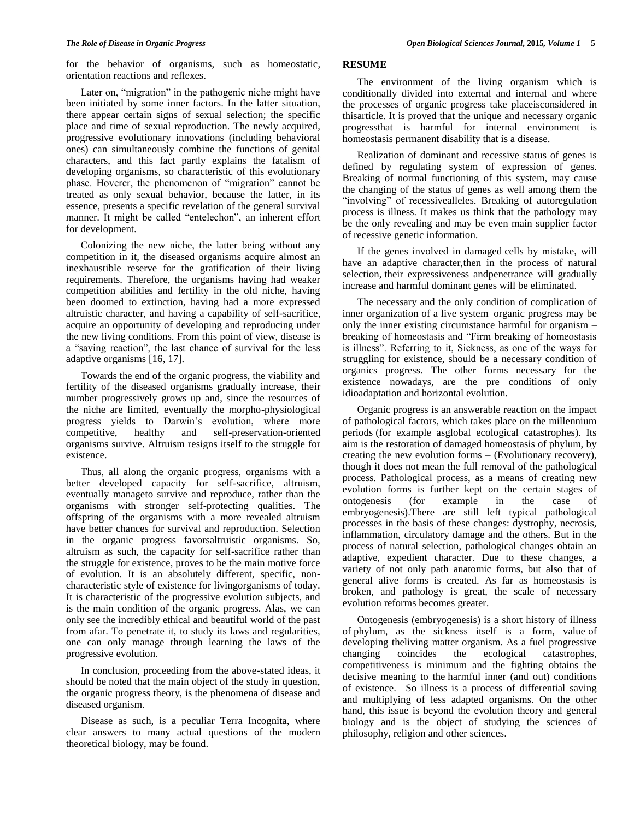for the behavior of organisms, such as homeostatic, orientation reactions and reflexes.

Later on, "migration" in the pathogenic niche might have been initiated by some inner factors. In the latter situation, there appear certain signs of sexual selection; the specific place and time of sexual reproduction. The newly acquired, progressive evolutionary innovations (including behavioral ones) can simultaneously combine the functions of genital characters, and this fact partly explains the fatalism of developing organisms, so characteristic of this evolutionary phase. Hoverer, the phenomenon of "migration" cannot be treated as only sexual behavior, because the latter, in its essence, presents a specific revelation of the general survival manner. It might be called "entelechon", an inherent effort for development.

Colonizing the new niche, the latter being without any competition in it, the diseased organisms acquire almost an inexhaustible reserve for the gratification of their living requirements. Therefore, the organisms having had weaker competition abilities and fertility in the old niche, having been doomed to extinction, having had a more expressed altruistic character, and having a capability of self-sacrifice, acquire an opportunity of developing and reproducing under the new living conditions. From this point of view, disease is a "saving reaction", the last chance of survival for the less adaptive organisms [16, 17].

Towards the end of the organic progress, the viability and fertility of the diseased organisms gradually increase, their number progressively grows up and, since the resources of the niche are limited, eventually the morpho-physiological progress yields to Darwin's evolution, where more competitive, healthy and self-preservation-oriented competitive, healthy and self-preservation-oriented organisms survive. Altruism resigns itself to the struggle for existence.

Thus, all along the organic progress, organisms with a better developed capacity for self-sacrifice, altruism, eventually manageto survive and reproduce, rather than the organisms with stronger self-protecting qualities. The offspring of the organisms with a more revealed altruism have better chances for survival and reproduction. Selection in the organic progress favorsaltruistic organisms. So, altruism as such, the capacity for self-sacrifice rather than the struggle for existence, proves to be the main motive force of evolution. It is an absolutely different, specific, noncharacteristic style of existence for livingorganisms of today. It is characteristic of the progressive evolution subjects, and is the main condition of the organic progress. Alas, we can only see the incredibly ethical and beautiful world of the past from afar. To penetrate it, to study its laws and regularities, one can only manage through learning the laws of the progressive evolution.

In conclusion, proceeding from the above-stated ideas, it should be noted that the main object of the study in question, the organic progress theory, is the phenomena of disease and diseased organism.

Disease as such, is a peculiar Terra Incognita, where clear answers to many actual questions of the modern theoretical biology, may be found.

## **RESUME**

The environment of the living organism which is conditionally divided into external and internal and where the processes of organic progress take placeisconsidered in thisarticle. It is proved that the unique and necessary organic progressthat is harmful for internal environment is homeostasis permanent disability that is a disease.

Realization of dominant and recessive status of genes is defined by regulating system of expression of genes. Breaking of normal functioning of this system, may cause the changing of the status of genes as well among them the "involving" of recessivealleles. Breaking of autoregulation process is illness. It makes us think that the pathology may be the only revealing and may be even main supplier factor of recessive genetic information.

If the genes involved in damaged cells by mistake, will have an adaptive character,then in the process of natural selection, their expressiveness andpenetrance will gradually increase and harmful dominant genes will be eliminated.

The necessary and the only condition of complication of inner organization of a live system–organic progress may be only the inner existing circumstance harmful for organism – breaking of homeostasis and "Firm breaking of homeostasis is illness". Referring to it, Sickness, as one of the ways for struggling for existence, should be a necessary condition of organics progress. The other forms necessary for the existence nowadays, are the pre conditions of only idioadaptation and horizontal evolution.

Organic progress is an answerable reaction on the impact of pathological factors, which takes place on the millennium periods (for example asglobal ecological catastrophes). Its aim is the restoration of damaged homeostasis of phylum, by creating the new evolution forms – (Evolutionary recovery), though it does not mean the full removal of the pathological process. Pathological process, as a means of creating new evolution forms is further kept on the certain stages of ontogenesis (for example in the case of embryogenesis).There are still left typical pathological processes in the basis of these changes: dystrophy, necrosis, inflammation, circulatory damage and the others. But in the process of natural selection, pathological changes obtain an adaptive, expedient character. Due to these changes, a variety of not only path anatomic forms, but also that of general alive forms is created. As far as homeostasis is broken, and pathology is great, the scale of necessary evolution reforms becomes greater.

Ontogenesis (embryogenesis) is a short history of illness of phylum, as the sickness itself is a form, value of developing theliving matter organism. As a fuel progressive changing coincides the ecological catastrophes, changing coincides the ecological catastrophes, competitiveness is minimum and the fighting obtains the decisive meaning to the harmful inner (and out) conditions of existence.– So illness is a process of differential saving and multiplying of less adapted organisms. On the other hand, this issue is beyond the evolution theory and general biology and is the object of studying the sciences of philosophy, religion and other sciences.